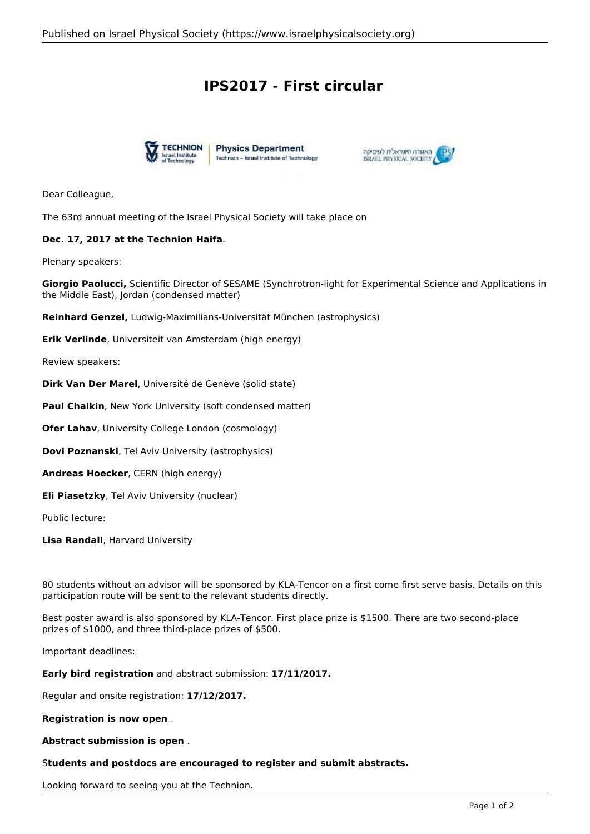## **IPS2017 - First circular**





Dear Colleague,

The 63rd annual meeting of the Israel Physical Society will take place on

## **Dec. 17, 2017 at the Technion Haifa**.

Plenary speakers:

**Giorgio Paolucci,** Scientific Director of SESAME (Synchrotron-light for Experimental Science and Applications in the Middle East), Jordan (condensed matter)

**Reinhard Genzel,** Ludwig-Maximilians-Universität München (astrophysics)

**Erik Verlinde**, Universiteit van Amsterdam (high energy)

Review speakers:

**Dirk Van Der Marel**, Université de Genève (solid state)

**Paul Chaikin**, New York University (soft condensed matter)

**Ofer Lahav**, University College London (cosmology)

**Dovi Poznanski**, Tel Aviv University (astrophysics)

**Andreas Hoecker**, CERN (high energy)

**Eli Piasetzky**, Tel Aviv University (nuclear)

Public lecture:

**Lisa Randall**, Harvard University

80 students without an advisor will be sponsored by KLA-Tencor on a first come first serve basis. Details on this participation route will be sent to the relevant students directly.

Best poster award is also sponsored by KLA-Tencor. First place prize is \$1500. There are two second-place prizes of \$1000, and three third-place prizes of \$500.

Important deadlines:

**Early bird registration** and abstract submission: **17/11/2017.**

Regular and onsite registration: **17/12/2017.**

**Registration is now open** .

**Abstract submission is open** .

## S**tudents and postdocs are encouraged to register and submit abstracts.**

Looking forward to seeing you at the Technion.